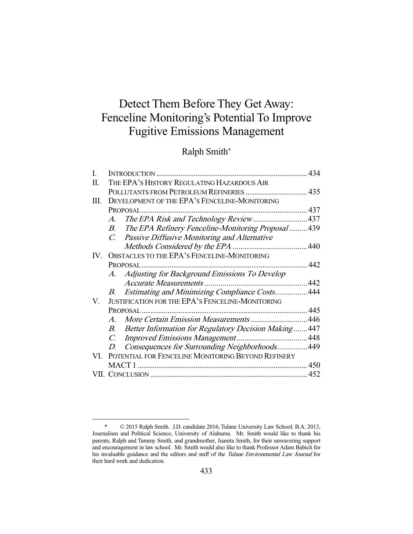# Detect Them Before They Get Away: Fenceline Monitoring's Potential To Improve Fugitive Emissions Management

## Ralph Smith\*

|                                                              | 434                                                                                                       |
|--------------------------------------------------------------|-----------------------------------------------------------------------------------------------------------|
| THE EPA'S HISTORY REGULATING HAZARDOUS AIR                   |                                                                                                           |
| POLLUTANTS FROM PETROLEUM REFINERIES  435                    |                                                                                                           |
| DEVELOPMENT OF THE EPA'S FENCELINE-MONITORING                |                                                                                                           |
|                                                              |                                                                                                           |
| The EPA Risk and Technology Review437<br>A.                  |                                                                                                           |
| B. The EPA Refinery Fenceline-Monitoring Proposal439         |                                                                                                           |
| C. Passive Diffusive Monitoring and Alternative              |                                                                                                           |
|                                                              |                                                                                                           |
|                                                              |                                                                                                           |
|                                                              | .442                                                                                                      |
| A. Adjusting for Background Emissions To Develop             |                                                                                                           |
|                                                              |                                                                                                           |
| Estimating and Minimizing Compliance Costs444<br>B.          |                                                                                                           |
| <b>JUSTIFICATION FOR THE EPA'S FENCELINE-MONITORING</b>      |                                                                                                           |
|                                                              |                                                                                                           |
| More Certain Emission Measurements 446<br>$A_{\cdot}$        |                                                                                                           |
| B. Better Information for Regulatory Decision Making447      |                                                                                                           |
|                                                              |                                                                                                           |
| Consequences for Surrounding Neighborhoods449<br>$D_{\cdot}$ |                                                                                                           |
|                                                              |                                                                                                           |
|                                                              |                                                                                                           |
|                                                              |                                                                                                           |
|                                                              | IV. OBSTACLES TO THE EPA'S FENCELINE-MONITORING<br>VI. POTENTIAL FOR FENCELINE MONITORING BEYOND REFINERY |

 <sup>\* © 2015</sup> Ralph Smith. J.D. candidate 2016, Tulane University Law School; B.A. 2013, Journalism and Political Science, University of Alabama. Mr. Smith would like to thank his parents, Ralph and Tammy Smith, and grandmother, Juanita Smith, for their unwavering support and encouragement in law school. Mr. Smith would also like to thank Professor Adam Babich for his invaluable guidance and the editors and staff of the Tulane Environmental Law Journal for their hard work and dedication.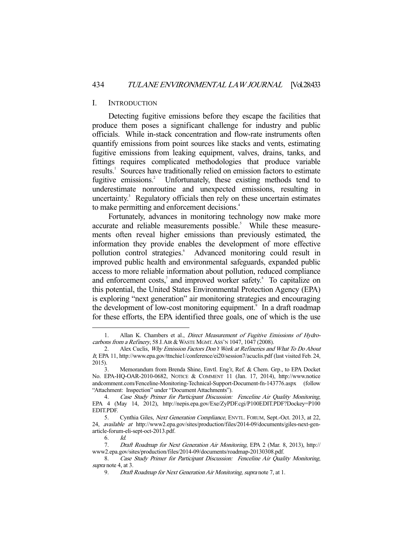### I. INTRODUCTION

 Detecting fugitive emissions before they escape the facilities that produce them poses a significant challenge for industry and public officials. While in-stack concentration and flow-rate instruments often quantify emissions from point sources like stacks and vents, estimating fugitive emissions from leaking equipment, valves, drains, tanks, and fittings requires complicated methodologies that produce variable results.<sup>1</sup> Sources have traditionally relied on emission factors to estimate fugitive emissions.<sup>2</sup> Unfortunately, these existing methods tend to underestimate nonroutine and unexpected emissions, resulting in uncertainty.<sup>3</sup> Regulatory officials then rely on these uncertain estimates to make permitting and enforcement decisions.<sup>4</sup>

 Fortunately, advances in monitoring technology now make more accurate and reliable measurements possible.<sup>5</sup> While these measurements often reveal higher emissions than previously estimated, the information they provide enables the development of more effective pollution control strategies.<sup>6</sup> Advanced monitoring could result in improved public health and environmental safeguards, expanded public access to more reliable information about pollution, reduced compliance and enforcement costs,<sup>7</sup> and improved worker safety.<sup>8</sup> To capitalize on this potential, the United States Environmental Protection Agency (EPA) is exploring "next generation" air monitoring strategies and encouraging the development of low-cost monitoring equipment.<sup>9</sup> In a draft roadmap for these efforts, the EPA identified three goals, one of which is the use

<sup>1.</sup> Allan K. Chambers et al., *Direct Measurement of Fugitive Emissions of Hydro*carbons from a Refinery, 58 J. AIR & WASTE MGMT. ASS'N 1047, 1047 (2008).

 <sup>2.</sup> Alex Cuclis, Why Emission Factors Don't Work at Refineries and What To Do About It, EPA 11, http://www.epa.gov/ttnchie1/conference/ei20/session7/acuclis.pdf (last visited Feb. 24, 2015).

 <sup>3.</sup> Memorandum from Brenda Shine, Envtl. Eng'r, Ref. & Chem. Grp., to EPA Docket No. EPA-HQ-OAR-2010-0682, NOTICE & COMMENT 11 (Jan. 17, 2014), http://www.notice andcomment.com/Fenceline-Monitoring-Technical-Support-Document-fn-143776.aspx (follow "Attachment: Inspection" under "Document Attachments").

 <sup>4.</sup> Case Study Primer for Participant Discussion: Fenceline Air Quality Monitoring, EPA 4 (May 14, 2012), http://nepis.epa.gov/Exe/ZyPDF.cgi/P100EDIT.PDF?Dockey=P100 EDIT.PDF.

 <sup>5.</sup> Cynthia Giles, Next Generation Compliance, ENVTL. FORUM, Sept.-Oct. 2013, at 22, 24, available at http://www2.epa.gov/sites/production/files/2014-09/documents/giles-next-genarticle-forum-eli-sept-oct-2013.pdf.

 <sup>6.</sup> Id.

 <sup>7.</sup> Draft Roadmap for Next Generation Air Monitoring, EPA 2 (Mar. 8, 2013), http:// www2.epa.gov/sites/production/files/2014-09/documents/roadmap-20130308.pdf.

 <sup>8.</sup> Case Study Primer for Participant Discussion: Fenceline Air Quality Monitoring, supra note 4, at 3.

 <sup>9.</sup> Draft Roadmap for Next Generation Air Monitoring, supra note 7, at 1.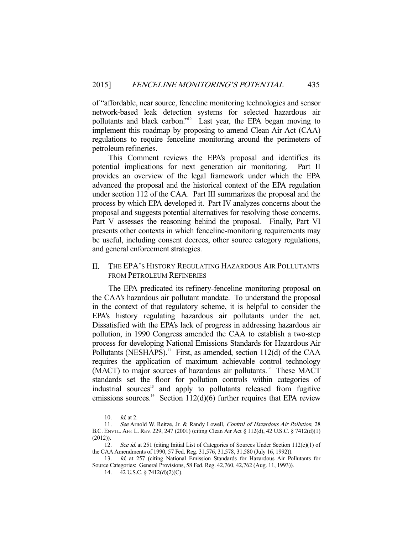of "affordable, near source, fenceline monitoring technologies and sensor network-based leak detection systems for selected hazardous air pollutants and black carbon."<sup>10</sup> Last year, the EPA began moving to implement this roadmap by proposing to amend Clean Air Act (CAA) regulations to require fenceline monitoring around the perimeters of petroleum refineries.

 This Comment reviews the EPA's proposal and identifies its potential implications for next generation air monitoring. Part II provides an overview of the legal framework under which the EPA advanced the proposal and the historical context of the EPA regulation under section 112 of the CAA. Part III summarizes the proposal and the process by which EPA developed it. Part IV analyzes concerns about the proposal and suggests potential alternatives for resolving those concerns. Part V assesses the reasoning behind the proposal. Finally, Part VI presents other contexts in which fenceline-monitoring requirements may be useful, including consent decrees, other source category regulations, and general enforcement strategies.

## II. THE EPA'S HISTORY REGULATING HAZARDOUS AIR POLLUTANTS FROM PETROLEUM REFINERIES

 The EPA predicated its refinery-fenceline monitoring proposal on the CAA's hazardous air pollutant mandate. To understand the proposal in the context of that regulatory scheme, it is helpful to consider the EPA's history regulating hazardous air pollutants under the act. Dissatisfied with the EPA's lack of progress in addressing hazardous air pollution, in 1990 Congress amended the CAA to establish a two-step process for developing National Emissions Standards for Hazardous Air Pollutants (NESHAPS).<sup>11</sup> First, as amended, section  $112(d)$  of the CAA requires the application of maximum achievable control technology (MACT) to major sources of hazardous air pollutants.<sup>12</sup> These MACT standards set the floor for pollution controls within categories of industrial sources<sup>13</sup> and apply to pollutants released from fugitive emissions sources.<sup>14</sup> Section 112(d)(6) further requires that EPA review

 <sup>10.</sup> Id. at 2.

 <sup>11.</sup> See Arnold W. Reitze, Jr. & Randy Lowell, Control of Hazardous Air Pollution, 28 B.C. ENVTL. AFF. L. REV. 229, 247 (2001) (citing Clean Air Act § 112(d), 42 U.S.C. § 7412(d)(1) (2012)).

<sup>12.</sup> See id. at 251 (citing Initial List of Categories of Sources Under Section 112(c)(1) of the CAA Amendments of 1990, 57 Fed. Reg. 31,576, 31,578, 31,580 (July 16, 1992)).

 <sup>13.</sup> Id. at 257 (citing National Emission Standards for Hazardous Air Pollutants for Source Categories: General Provisions, 58 Fed. Reg. 42,760, 42,762 (Aug. 11, 1993)).

 <sup>14. 42</sup> U.S.C. § 7412(d)(2)(C).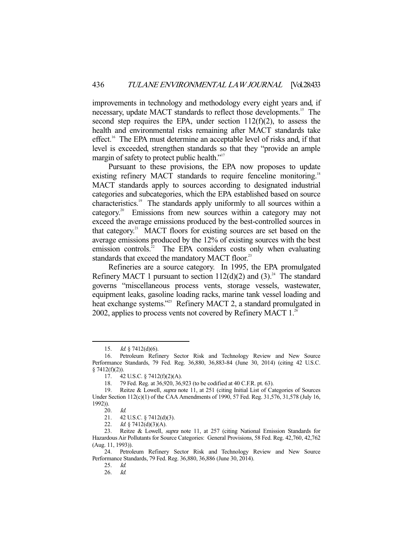improvements in technology and methodology every eight years and, if necessary, update MACT standards to reflect those developments.<sup>15</sup> The second step requires the EPA, under section  $112(f)(2)$ , to assess the health and environmental risks remaining after MACT standards take effect.<sup>16</sup> The EPA must determine an acceptable level of risks and, if that level is exceeded, strengthen standards so that they "provide an ample margin of safety to protect public health."<sup>17</sup>

 Pursuant to these provisions, the EPA now proposes to update existing refinery MACT standards to require fenceline monitoring.<sup>18</sup> MACT standards apply to sources according to designated industrial categories and subcategories, which the EPA established based on source characteristics.19 The standards apply uniformly to all sources within a category.20 Emissions from new sources within a category may not exceed the average emissions produced by the best-controlled sources in that category.<sup>21</sup> MACT floors for existing sources are set based on the average emissions produced by the 12% of existing sources with the best emission controls.<sup>22</sup> The EPA considers costs only when evaluating standards that exceed the mandatory MACT floor.<sup>23</sup>

 Refineries are a source category. In 1995, the EPA promulgated Refinery MACT 1 pursuant to section  $112(d)(2)$  and  $(3).^{24}$  The standard governs "miscellaneous process vents, storage vessels, wastewater, equipment leaks, gasoline loading racks, marine tank vessel loading and heat exchange systems."<sup>25</sup> Refinery MACT 2, a standard promulgated in 2002, applies to process vents not covered by Refinery MACT  $1.^{26}$ .

<sup>15.</sup> *Id.* § 7412(d)(6).

 <sup>16.</sup> Petroleum Refinery Sector Risk and Technology Review and New Source Performance Standards, 79 Fed. Reg. 36,880, 36,883-84 (June 30, 2014) (citing 42 U.S.C.  $§ 7412(f)(2)).$ 

 <sup>17. 42</sup> U.S.C. § 7412(f)(2)(A).

 <sup>18. 79</sup> Fed. Reg. at 36,920, 36,923 (to be codified at 40 C.F.R. pt. 63).

 <sup>19.</sup> Reitze & Lowell, supra note 11, at 251 (citing Initial List of Categories of Sources Under Section 112(c)(1) of the CAA Amendments of 1990, 57 Fed. Reg. 31,576, 31,578 (July 16, 1992)).

 <sup>20.</sup> Id.

 <sup>21. 42</sup> U.S.C. § 7412(d)(3).

<sup>22.</sup> *Id.* § 7412(d)(3)(A).

<sup>23.</sup> Reitze & Lowell, *supra* note 11, at 257 (citing National Emission Standards for Hazardous Air Pollutants for Source Categories: General Provisions, 58 Fed. Reg. 42,760, 42,762 (Aug. 11, 1993)).

 <sup>24.</sup> Petroleum Refinery Sector Risk and Technology Review and New Source Performance Standards, 79 Fed. Reg. 36,880, 36,886 (June 30, 2014).

 <sup>25.</sup> Id.

 <sup>26.</sup> Id.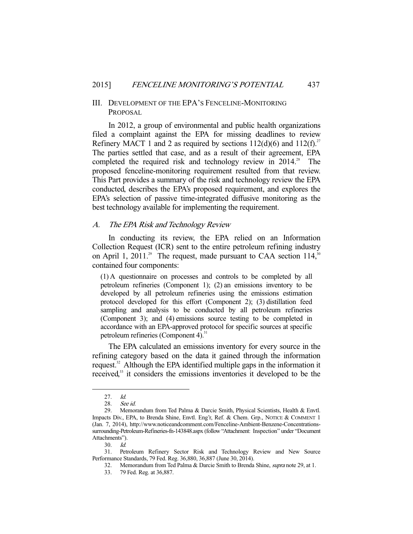## III. DEVELOPMENT OF THE EPA'S FENCELINE-MONITORING PROPOSAL

 In 2012, a group of environmental and public health organizations filed a complaint against the EPA for missing deadlines to review Refinery MACT 1 and 2 as required by sections  $112(d)(6)$  and  $112(f).^{27}$ The parties settled that case, and as a result of their agreement, EPA completed the required risk and technology review in  $2014$ <sup>28</sup> The proposed fenceline-monitoring requirement resulted from that review. This Part provides a summary of the risk and technology review the EPA conducted, describes the EPA's proposed requirement, and explores the EPA's selection of passive time-integrated diffusive monitoring as the best technology available for implementing the requirement.

## A. The EPA Risk and Technology Review

 In conducting its review, the EPA relied on an Information Collection Request (ICR) sent to the entire petroleum refining industry on April 1, 2011.<sup>29</sup> The request, made pursuant to CAA section 114,<sup>30</sup> contained four components:

(1) A questionnaire on processes and controls to be completed by all petroleum refineries (Component 1); (2) an emissions inventory to be developed by all petroleum refineries using the emissions estimation protocol developed for this effort (Component 2); (3) distillation feed sampling and analysis to be conducted by all petroleum refineries (Component 3); and (4) emissions source testing to be completed in accordance with an EPA-approved protocol for specific sources at specific petroleum refineries (Component 4). $31$ 

 The EPA calculated an emissions inventory for every source in the refining category based on the data it gained through the information request.<sup>32</sup> Although the EPA identified multiple gaps in the information it received,<sup>33</sup> it considers the emissions inventories it developed to be the

 <sup>27.</sup> Id.

<sup>28.</sup> *See id.*<br>29. Memor

Memorandum from Ted Palma & Darcie Smith, Physical Scientists, Health & Envtl. Impacts Div., EPA, to Brenda Shine, Envtl. Eng'r, Ref. & Chem. Grp., NOTICE & COMMENT 1 (Jan. 7, 2014), http://www.noticeandcomment.com/Fenceline-Ambient-Benzene-Concentrationssurrounding-Petroleum-Refineries-fn-143848.aspx (follow "Attachment: Inspection" under "Document Attachments").

 <sup>30.</sup> Id.

 <sup>31.</sup> Petroleum Refinery Sector Risk and Technology Review and New Source Performance Standards, 79 Fed. Reg. 36,880, 36,887 (June 30, 2014).

 <sup>32.</sup> Memorandum from Ted Palma & Darcie Smith to Brenda Shine, supra note 29, at 1.

 <sup>33. 79</sup> Fed. Reg. at 36,887.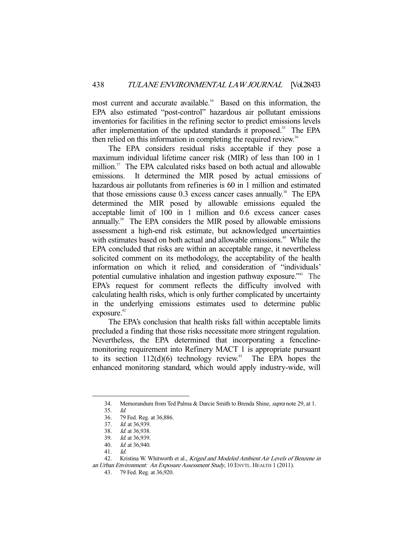most current and accurate available.<sup>34</sup> Based on this information, the EPA also estimated "post-control" hazardous air pollutant emissions inventories for facilities in the refining sector to predict emissions levels after implementation of the updated standards it proposed.<sup>35</sup> The EPA then relied on this information in completing the required review.<sup>36</sup>

 The EPA considers residual risks acceptable if they pose a maximum individual lifetime cancer risk (MIR) of less than 100 in 1 million.<sup>37</sup> The EPA calculated risks based on both actual and allowable emissions. It determined the MIR posed by actual emissions of hazardous air pollutants from refineries is 60 in 1 million and estimated that those emissions cause  $0.3$  excess cancer cases annually.<sup>38</sup> The EPA determined the MIR posed by allowable emissions equaled the acceptable limit of 100 in 1 million and 0.6 excess cancer cases annually.<sup>39</sup> The EPA considers the MIR posed by allowable emissions assessment a high-end risk estimate, but acknowledged uncertainties with estimates based on both actual and allowable emissions.<sup>40</sup> While the EPA concluded that risks are within an acceptable range, it nevertheless solicited comment on its methodology, the acceptability of the health information on which it relied, and consideration of "individuals' potential cumulative inhalation and ingestion pathway exposure."41 The EPA's request for comment reflects the difficulty involved with calculating health risks, which is only further complicated by uncertainty in the underlying emissions estimates used to determine public exposure.<sup>42</sup>

 The EPA's conclusion that health risks fall within acceptable limits precluded a finding that those risks necessitate more stringent regulation. Nevertheless, the EPA determined that incorporating a fencelinemonitoring requirement into Refinery MACT 1 is appropriate pursuant to its section  $112(d)(6)$  technology review.<sup>43</sup> The EPA hopes the enhanced monitoring standard, which would apply industry-wide, will

<sup>34.</sup> Memorandum from Ted Palma & Darcie Smith to Brenda Shine, *supra* note 29, at 1.

 <sup>35.</sup> Id.

 <sup>36. 79</sup> Fed. Reg. at 36,886.

<sup>37.</sup> *Id.* at 36,939.

 <sup>38.</sup> Id. at 36,938.

 <sup>39.</sup> Id. at 36,939.

 <sup>40.</sup> Id. at 36,940.

 <sup>41.</sup> Id.

<sup>42.</sup> Kristina W. Whitworth et al., Kriged and Modeled Ambient Air Levels of Benzene in an Urban Environment: An Exposure Assessment Study, 10 ENVTL. HEALTH 1 (2011).

 <sup>43. 79</sup> Fed. Reg. at 36,920.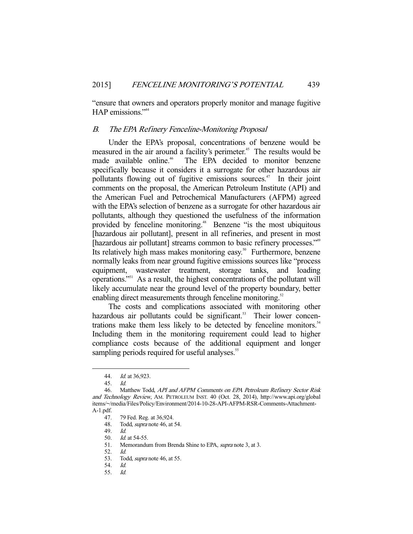"ensure that owners and operators properly monitor and manage fugitive HAP emissions."<sup>44</sup>

## B. The EPA Refinery Fenceline-Monitoring Proposal

 Under the EPA's proposal, concentrations of benzene would be measured in the air around a facility's perimeter.<sup>45</sup> The results would be made available online.<sup>46</sup> The EPA decided to monitor benzene specifically because it considers it a surrogate for other hazardous air pollutants flowing out of fugitive emissions sources. $47$  In their joint comments on the proposal, the American Petroleum Institute (API) and the American Fuel and Petrochemical Manufacturers (AFPM) agreed with the EPA's selection of benzene as a surrogate for other hazardous air pollutants, although they questioned the usefulness of the information provided by fenceline monitoring.<sup>48</sup> Benzene "is the most ubiquitous [hazardous air pollutant], present in all refineries, and present in most [hazardous air pollutant] streams common to basic refinery processes."<sup>49</sup> Its relatively high mass makes monitoring easy.<sup>50</sup> Furthermore, benzene normally leaks from near ground fugitive emissions sources like "process equipment, wastewater treatment, storage tanks, and loading operations."51 As a result, the highest concentrations of the pollutant will likely accumulate near the ground level of the property boundary, better enabling direct measurements through fenceline monitoring.<sup>52</sup>

 The costs and complications associated with monitoring other hazardous air pollutants could be significant.<sup>53</sup> Their lower concentrations make them less likely to be detected by fenceline monitors.<sup>54</sup> Including them in the monitoring requirement could lead to higher compliance costs because of the additional equipment and longer sampling periods required for useful analyses.<sup>55</sup>

 <sup>44.</sup> Id. at 36,923.

 <sup>45.</sup> Id.

<sup>46.</sup> Matthew Todd, API and AFPM Comments on EPA Petroleum Refinery Sector Risk and Technology Review, AM. PETROLEUM INST. 40 (Oct. 28, 2014), http://www.api.org/global items/~/media/Files/Policy/Environment/2014-10-28-API-AFPM-RSR-Comments-Attachment-A-1.pdf.

<sup>47. 79</sup> Fed. Reg. at 36,924.<br>48. Todd. *supra* note 46. at

Todd, *supra* note 46, at 54.

 <sup>49.</sup> Id.

 <sup>50.</sup> Id. at 54-55.

<sup>51.</sup> Memorandum from Brenda Shine to EPA, *supra* note 3, at 3.

<sup>52.</sup> *Id.*<br>53. Too

Todd, *supra* note 46, at 55.

 <sup>54.</sup> Id.

 <sup>55.</sup> Id.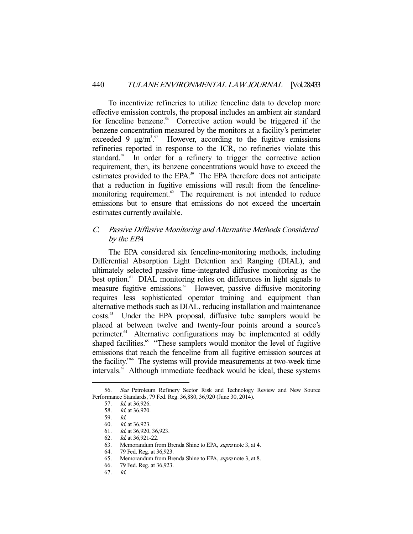To incentivize refineries to utilize fenceline data to develop more effective emission controls, the proposal includes an ambient air standard for fenceline benzene.<sup>56</sup> Corrective action would be triggered if the benzene concentration measured by the monitors at a facility's perimeter exceeded 9  $\mu$ g/m<sup>3,57</sup> However, according to the fugitive emissions refineries reported in response to the ICR, no refineries violate this standard.<sup>58</sup> In order for a refinery to trigger the corrective action requirement, then, its benzene concentrations would have to exceed the estimates provided to the EPA.<sup>59</sup> The EPA therefore does not anticipate that a reduction in fugitive emissions will result from the fencelinemonitoring requirement.<sup>60</sup> The requirement is not intended to reduce emissions but to ensure that emissions do not exceed the uncertain estimates currently available.

## C. Passive Diffusive Monitoring and Alternative Methods Considered by the EPA

 The EPA considered six fenceline-monitoring methods, including Differential Absorption Light Detention and Ranging (DIAL), and ultimately selected passive time-integrated diffusive monitoring as the best option.<sup>61</sup> DIAL monitoring relies on differences in light signals to measure fugitive emissions.<sup>62</sup> However, passive diffusive monitoring requires less sophisticated operator training and equipment than alternative methods such as DIAL, reducing installation and maintenance costs.63 Under the EPA proposal, diffusive tube samplers would be placed at between twelve and twenty-four points around a source's perimeter.<sup>64</sup> Alternative configurations may be implemented at oddly shaped facilities.<sup>65</sup> "These samplers would monitor the level of fugitive emissions that reach the fenceline from all fugitive emission sources at the facility."66 The systems will provide measurements at two-week time intervals.<sup>67</sup> Although immediate feedback would be ideal, these systems

 <sup>56.</sup> See Petroleum Refinery Sector Risk and Technology Review and New Source Performance Standards, 79 Fed. Reg. 36,880, 36,920 (June 30, 2014).

 <sup>57.</sup> Id. at 36,926.

 <sup>58.</sup> Id. at 36,920.

 <sup>59.</sup> Id.

 <sup>60.</sup> Id. at 36,923.

<sup>61.</sup> *Id.* at 36,920, 36,923.<br>62. *Id.* at 36,921-22.

Id. at 36,921-22.

 <sup>63.</sup> Memorandum from Brenda Shine to EPA, supra note 3, at 4.

 <sup>64. 79</sup> Fed. Reg. at 36,923. Memorandum from Brenda Shine to EPA, supra note 3, at 8.

 <sup>66. 79</sup> Fed. Reg. at 36,923.

 <sup>67.</sup> Id.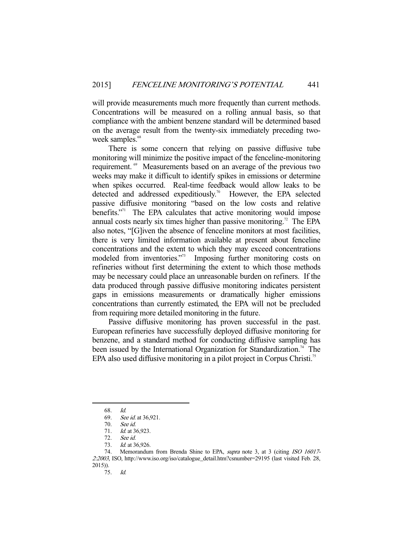will provide measurements much more frequently than current methods. Concentrations will be measured on a rolling annual basis, so that compliance with the ambient benzene standard will be determined based on the average result from the twenty-six immediately preceding twoweek samples.<sup>68</sup>

 There is some concern that relying on passive diffusive tube monitoring will minimize the positive impact of the fenceline-monitoring requirement.<sup>69</sup> Measurements based on an average of the previous two weeks may make it difficult to identify spikes in emissions or determine when spikes occurred. Real-time feedback would allow leaks to be detected and addressed expeditiously.<sup>70</sup> However, the EPA selected passive diffusive monitoring "based on the low costs and relative benefits."<sup>71</sup> The EPA calculates that active monitoring would impose annual costs nearly six times higher than passive monitoring.<sup>72</sup> The EPA also notes, "[G]iven the absence of fenceline monitors at most facilities, there is very limited information available at present about fenceline concentrations and the extent to which they may exceed concentrations modeled from inventories."<sup>73</sup> Imposing further monitoring costs on refineries without first determining the extent to which those methods may be necessary could place an unreasonable burden on refiners. If the data produced through passive diffusive monitoring indicates persistent gaps in emissions measurements or dramatically higher emissions concentrations than currently estimated, the EPA will not be precluded from requiring more detailed monitoring in the future.

 Passive diffusive monitoring has proven successful in the past. European refineries have successfully deployed diffusive monitoring for benzene, and a standard method for conducting diffusive sampling has been issued by the International Organization for Standardization.<sup>74</sup> The EPA also used diffusive monitoring in a pilot project in Corpus Christi.<sup>75</sup>

<sup>68.</sup> *Id.*<br>69. *Sea* 

See id. at 36,921.

 <sup>70.</sup> See id.

<sup>71.</sup> *Id.* at 36,923.

 <sup>72.</sup> See id.

<sup>73.</sup> *Id.* at 36,926.

<sup>74.</sup> Memorandum from Brenda Shine to EPA, supra note 3, at 3 (citing ISO 16017-2:2003, ISO, http://www.iso.org/iso/catalogue\_detail.htm?csnumber=29195 (last visited Feb. 28,  $2015$ )).<br>75.

 <sup>75.</sup> Id.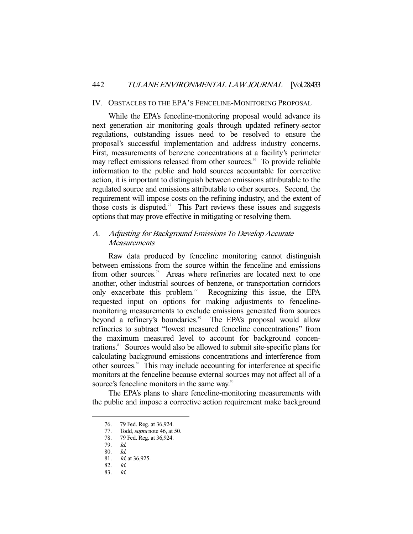#### IV. OBSTACLES TO THE EPA'S FENCELINE-MONITORING PROPOSAL

 While the EPA's fenceline-monitoring proposal would advance its next generation air monitoring goals through updated refinery-sector regulations, outstanding issues need to be resolved to ensure the proposal's successful implementation and address industry concerns. First, measurements of benzene concentrations at a facility's perimeter may reflect emissions released from other sources.<sup>76</sup> To provide reliable information to the public and hold sources accountable for corrective action, it is important to distinguish between emissions attributable to the regulated source and emissions attributable to other sources. Second, the requirement will impose costs on the refining industry, and the extent of those costs is disputed.<sup>77</sup> This Part reviews these issues and suggests options that may prove effective in mitigating or resolving them.

## A. Adjusting for Background Emissions To Develop Accurate **Measurements**

 Raw data produced by fenceline monitoring cannot distinguish between emissions from the source within the fenceline and emissions from other sources.<sup>78</sup> Areas where refineries are located next to one another, other industrial sources of benzene, or transportation corridors only exacerbate this problem.<sup>79</sup> Recognizing this issue, the EPA requested input on options for making adjustments to fencelinemonitoring measurements to exclude emissions generated from sources beyond a refinery's boundaries.<sup>80</sup> The EPA's proposal would allow refineries to subtract "lowest measured fenceline concentrations" from the maximum measured level to account for background concentrations.81 Sources would also be allowed to submit site-specific plans for calculating background emissions concentrations and interference from other sources.82 This may include accounting for interference at specific monitors at the fenceline because external sources may not affect all of a source's fenceline monitors in the same way.<sup>83</sup>

 The EPA's plans to share fenceline-monitoring measurements with the public and impose a corrective action requirement make background

<sup>76. 79</sup> Fed. Reg. at 36,924.<br>77. Todd, *supra* note 46, at

Todd, *supra* note 46, at 50.

 <sup>78. 79</sup> Fed. Reg. at 36,924.

 <sup>79.</sup> Id.

 <sup>80.</sup> Id.

 <sup>81.</sup> Id. at 36,925.

 <sup>82.</sup> Id.

 <sup>83.</sup> Id.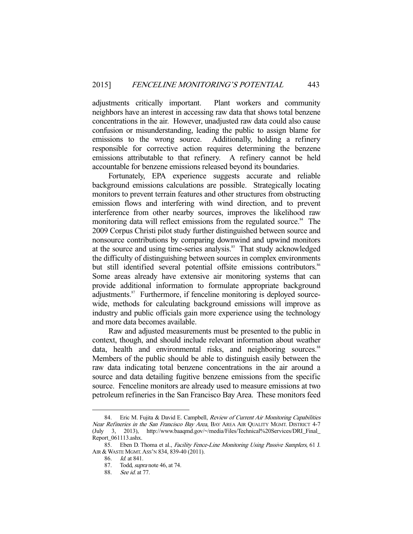adjustments critically important. Plant workers and community neighbors have an interest in accessing raw data that shows total benzene concentrations in the air. However, unadjusted raw data could also cause confusion or misunderstanding, leading the public to assign blame for emissions to the wrong source. Additionally, holding a refinery responsible for corrective action requires determining the benzene emissions attributable to that refinery. A refinery cannot be held accountable for benzene emissions released beyond its boundaries.

 Fortunately, EPA experience suggests accurate and reliable background emissions calculations are possible. Strategically locating monitors to prevent terrain features and other structures from obstructing emission flows and interfering with wind direction, and to prevent interference from other nearby sources, improves the likelihood raw monitoring data will reflect emissions from the regulated source.<sup>84</sup> The 2009 Corpus Christi pilot study further distinguished between source and nonsource contributions by comparing downwind and upwind monitors at the source and using time-series analysis.<sup>85</sup> That study acknowledged the difficulty of distinguishing between sources in complex environments but still identified several potential offsite emissions contributors.<sup>86</sup> Some areas already have extensive air monitoring systems that can provide additional information to formulate appropriate background adjustments.<sup>87</sup> Furthermore, if fenceline monitoring is deployed sourcewide, methods for calculating background emissions will improve as industry and public officials gain more experience using the technology and more data becomes available.

 Raw and adjusted measurements must be presented to the public in context, though, and should include relevant information about weather data, health and environmental risks, and neighboring sources.<sup>88</sup> Members of the public should be able to distinguish easily between the raw data indicating total benzene concentrations in the air around a source and data detailing fugitive benzene emissions from the specific source. Fenceline monitors are already used to measure emissions at two petroleum refineries in the San Francisco Bay Area. These monitors feed

<sup>84.</sup> Eric M. Fujita & David E. Campbell, *Review of Current Air Monitoring Capabilities* Near Refineries in the San Francisco Bay Area, BAY AREA AIR QUALITY MGMT. DISTRICT 4-7 (July 3, 2013), http://www.baaqmd.gov/~/media/Files/Technical%20Services/DRI\_Final\_ Report\_061113.ashx.

<sup>85.</sup> Eben D. Thoma et al., Facility Fence-Line Monitoring Using Passive Samplers, 61 J. AIR & WASTE MGMT. ASS'N 834, 839-40 (2011).

 <sup>86.</sup> Id. at 841.

 <sup>87.</sup> Todd, supra note 46, at 74.

 <sup>88.</sup> See id. at 77.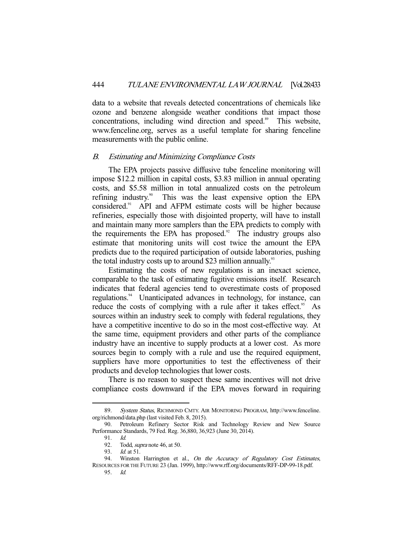data to a website that reveals detected concentrations of chemicals like ozone and benzene alongside weather conditions that impact those concentrations, including wind direction and speed.<sup>89</sup> This website, www.fenceline.org, serves as a useful template for sharing fenceline measurements with the public online.

#### B. Estimating and Minimizing Compliance Costs

 The EPA projects passive diffusive tube fenceline monitoring will impose \$12.2 million in capital costs, \$3.83 million in annual operating costs, and \$5.58 million in total annualized costs on the petroleum refining industry.<sup>90</sup> This was the least expensive option the EPA considered.91 API and AFPM estimate costs will be higher because refineries, especially those with disjointed property, will have to install and maintain many more samplers than the EPA predicts to comply with the requirements the EPA has proposed. $92$  The industry groups also estimate that monitoring units will cost twice the amount the EPA predicts due to the required participation of outside laboratories, pushing the total industry costs up to around \$23 million annually.<sup>93</sup>

 Estimating the costs of new regulations is an inexact science, comparable to the task of estimating fugitive emissions itself. Research indicates that federal agencies tend to overestimate costs of proposed regulations.<sup>94</sup> Unanticipated advances in technology, for instance, can reduce the costs of complying with a rule after it takes effect.<sup>95</sup> As sources within an industry seek to comply with federal regulations, they have a competitive incentive to do so in the most cost-effective way. At the same time, equipment providers and other parts of the compliance industry have an incentive to supply products at a lower cost. As more sources begin to comply with a rule and use the required equipment, suppliers have more opportunities to test the effectiveness of their products and develop technologies that lower costs.

 There is no reason to suspect these same incentives will not drive compliance costs downward if the EPA moves forward in requiring

<sup>89.</sup> System Status, RICHMOND CMTY. AIR MONITORING PROGRAM, http://www.fenceline. org/richmond/data.php (last visited Feb. 8, 2015).

 <sup>90.</sup> Petroleum Refinery Sector Risk and Technology Review and New Source Performance Standards, 79 Fed. Reg. 36,880, 36,923 (June 30, 2014).

 <sup>91.</sup> Id.

 <sup>92.</sup> Todd, supra note 46, at 50.

<sup>93.</sup> *Id.* at 51.

<sup>94.</sup> Winston Harrington et al., On the Accuracy of Regulatory Cost Estimates, RESOURCES FOR THE FUTURE 23 (Jan. 1999), http://www.rff.org/documents/RFF-DP-99-18.pdf.

 <sup>95.</sup> Id.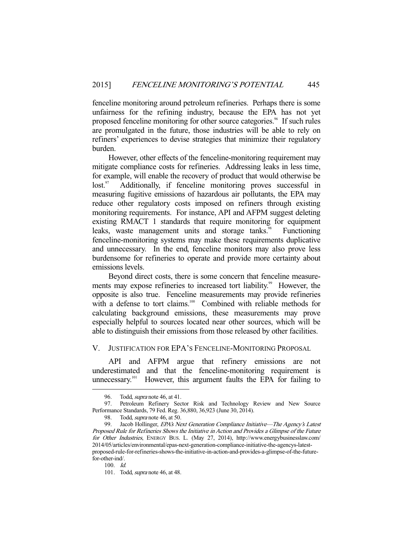fenceline monitoring around petroleum refineries. Perhaps there is some unfairness for the refining industry, because the EPA has not yet proposed fenceline monitoring for other source categories.<sup>96</sup> If such rules are promulgated in the future, those industries will be able to rely on refiners' experiences to devise strategies that minimize their regulatory burden.

 However, other effects of the fenceline-monitoring requirement may mitigate compliance costs for refineries. Addressing leaks in less time, for example, will enable the recovery of product that would otherwise be lost.<sup>97</sup> Additionally, if fenceline monitoring proves successful in measuring fugitive emissions of hazardous air pollutants, the EPA may reduce other regulatory costs imposed on refiners through existing monitoring requirements. For instance, API and AFPM suggest deleting existing RMACT 1 standards that require monitoring for equipment leaks, waste management units and storage tanks.<sup>98</sup> Functioning fenceline-monitoring systems may make these requirements duplicative and unnecessary. In the end, fenceline monitors may also prove less burdensome for refineries to operate and provide more certainty about emissions levels.

 Beyond direct costs, there is some concern that fenceline measurements may expose refineries to increased tort liability.<sup>99</sup> However, the opposite is also true. Fenceline measurements may provide refineries with a defense to tort claims.<sup>100</sup> Combined with reliable methods for calculating background emissions, these measurements may prove especially helpful to sources located near other sources, which will be able to distinguish their emissions from those released by other facilities.

## V. JUSTIFICATION FOR EPA'S FENCELINE-MONITORING PROPOSAL

 API and AFPM argue that refinery emissions are not underestimated and that the fenceline-monitoring requirement is unnecessary.<sup>101</sup> However, this argument faults the EPA for failing to

<sup>96.</sup> Todd, *supra* note 46, at 41.

 <sup>97.</sup> Petroleum Refinery Sector Risk and Technology Review and New Source Performance Standards, 79 Fed. Reg. 36,880, 36,923 (June 30, 2014).

<sup>98.</sup> Todd, *supra* note 46, at 50.

<sup>99.</sup> Jacob Hollinger, *EPA's Next Generation Compliance Initiative—The Agency's Latest* Proposed Rule for Refineries Shows the Initiative in Action and Provides a Glimpse of the Future for Other Industries, ENERGY BUS. L. (May 27, 2014), http://www.energybusinesslaw.com/ 2014/05/articles/environmental/epas-next-generation-compliance-initiative-the-agencys-latestproposed-rule-for-refineries-shows-the-initiative-in-action-and-provides-a-glimpse-of-the-futurefor-other-ind/.

 $100 \, Id$ 

 <sup>101.</sup> Todd, supra note 46, at 48.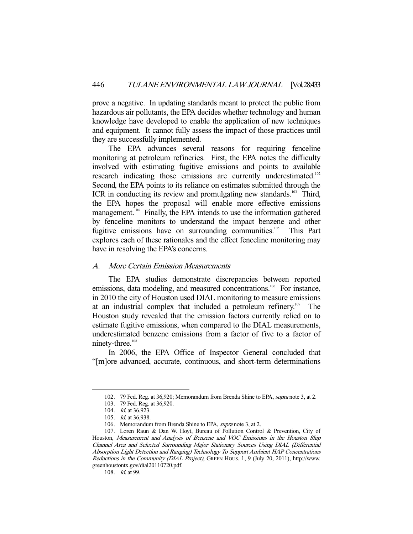prove a negative. In updating standards meant to protect the public from hazardous air pollutants, the EPA decides whether technology and human knowledge have developed to enable the application of new techniques and equipment. It cannot fully assess the impact of those practices until they are successfully implemented.

 The EPA advances several reasons for requiring fenceline monitoring at petroleum refineries. First, the EPA notes the difficulty involved with estimating fugitive emissions and points to available research indicating those emissions are currently underestimated.<sup>102</sup> Second, the EPA points to its reliance on estimates submitted through the ICR in conducting its review and promulgating new standards.<sup>103</sup> Third, the EPA hopes the proposal will enable more effective emissions management.<sup>104</sup> Finally, the EPA intends to use the information gathered by fenceline monitors to understand the impact benzene and other fugitive emissions have on surrounding communities.<sup>105</sup> This Part explores each of these rationales and the effect fenceline monitoring may have in resolving the EPA's concerns.

## A. More Certain Emission Measurements

 The EPA studies demonstrate discrepancies between reported emissions, data modeling, and measured concentrations.<sup>106</sup> For instance, in 2010 the city of Houston used DIAL monitoring to measure emissions at an industrial complex that included a petroleum refinery.107 The Houston study revealed that the emission factors currently relied on to estimate fugitive emissions, when compared to the DIAL measurements, underestimated benzene emissions from a factor of five to a factor of ninety-three.<sup>108</sup>

 In 2006, the EPA Office of Inspector General concluded that "[m]ore advanced, accurate, continuous, and short-term determinations

 <sup>102. 79</sup> Fed. Reg. at 36,920; Memorandum from Brenda Shine to EPA, supra note 3, at 2.

 <sup>103. 79</sup> Fed. Reg. at 36,920.

 <sup>104.</sup> Id. at 36,923.

 <sup>105.</sup> Id. at 36,938.

<sup>106.</sup> Memorandum from Brenda Shine to EPA, *supra* note 3, at 2.

 <sup>107.</sup> Loren Raun & Dan W. Hoyt, Bureau of Pollution Control & Prevention, City of Houston, Measurement and Analysis of Benzene and VOC Emissions in the Houston Ship Channel Area and Selected Surrounding Major Stationary Sources Using DIAL (Differential Absorption Light Detection and Ranging) Technology To Support Ambient HAP Concentrations Reductions in the Community (DIAL Project), GREEN HOUS. 1, 9 (July 20, 2011), http://www. greenhoustontx.gov/dial20110720.pdf.

<sup>108.</sup> *Id.* at 99.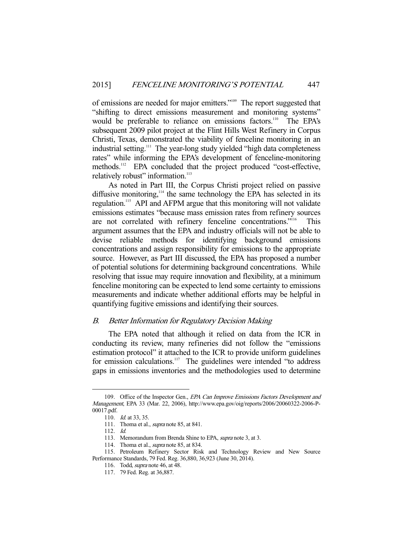of emissions are needed for major emitters."109 The report suggested that "shifting to direct emissions measurement and monitoring systems" would be preferable to reliance on emissions factors.<sup>110</sup> The EPA's subsequent 2009 pilot project at the Flint Hills West Refinery in Corpus Christi, Texas, demonstrated the viability of fenceline monitoring in an industrial setting.<sup>111</sup> The year-long study yielded "high data completeness" rates" while informing the EPA's development of fenceline-monitoring methods.<sup>112</sup> EPA concluded that the project produced "cost-effective, relatively robust" information.<sup>113</sup>

 As noted in Part III, the Corpus Christi project relied on passive diffusive monitoring,<sup>114</sup> the same technology the EPA has selected in its regulation.115 API and AFPM argue that this monitoring will not validate emissions estimates "because mass emission rates from refinery sources are not correlated with refinery fenceline concentrations."<sup>116</sup> This argument assumes that the EPA and industry officials will not be able to devise reliable methods for identifying background emissions concentrations and assign responsibility for emissions to the appropriate source. However, as Part III discussed, the EPA has proposed a number of potential solutions for determining background concentrations. While resolving that issue may require innovation and flexibility, at a minimum fenceline monitoring can be expected to lend some certainty to emissions measurements and indicate whether additional efforts may be helpful in quantifying fugitive emissions and identifying their sources.

## B. Better Information for Regulatory Decision Making

 The EPA noted that although it relied on data from the ICR in conducting its review, many refineries did not follow the "emissions estimation protocol" it attached to the ICR to provide uniform guidelines for emission calculations.<sup>117</sup> The guidelines were intended "to address" gaps in emissions inventories and the methodologies used to determine

<sup>109.</sup> Office of the Inspector Gen., EPA Can Improve Emissions Factors Development and Management, EPA 33 (Mar. 22, 2006), http://www.epa.gov/oig/reports/2006/20060322-2006-P-00017.pdf.

<sup>110.</sup> *Id.* at 33, 35.

<sup>111.</sup> Thoma et al., *supra* note 85, at 841.

 <sup>112.</sup> Id.

<sup>113.</sup> Memorandum from Brenda Shine to EPA, *supra* note 3, at 3.

<sup>114.</sup> Thoma et al., *supra* note 85, at 834.

 <sup>115.</sup> Petroleum Refinery Sector Risk and Technology Review and New Source Performance Standards, 79 Fed. Reg. 36,880, 36,923 (June 30, 2014).

 <sup>116.</sup> Todd, supra note 46, at 48.

 <sup>117. 79</sup> Fed. Reg. at 36,887.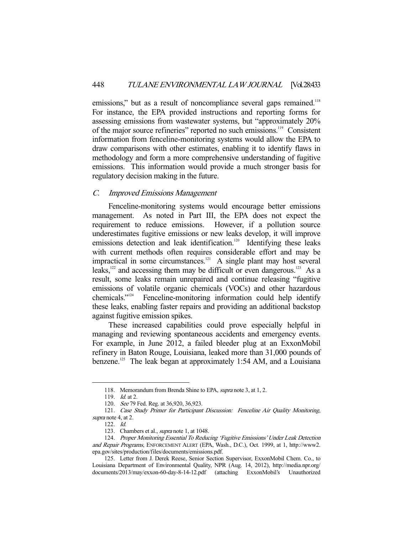emissions," but as a result of noncompliance several gaps remained.<sup>118</sup> For instance, the EPA provided instructions and reporting forms for assessing emissions from wastewater systems, but "approximately 20% of the major source refineries" reported no such emissions.119 Consistent information from fenceline-monitoring systems would allow the EPA to draw comparisons with other estimates, enabling it to identify flaws in methodology and form a more comprehensive understanding of fugitive emissions. This information would provide a much stronger basis for regulatory decision making in the future.

## C. Improved Emissions Management

 Fenceline-monitoring systems would encourage better emissions management. As noted in Part III, the EPA does not expect the requirement to reduce emissions. However, if a pollution source underestimates fugitive emissions or new leaks develop, it will improve emissions detection and leak identification.<sup>120</sup> Identifying these leaks with current methods often requires considerable effort and may be impractical in some circumstances.<sup>121</sup> A single plant may host several leaks, $122$  and accessing them may be difficult or even dangerous.<sup>123</sup> As a result, some leaks remain unrepaired and continue releasing "fugitive emissions of volatile organic chemicals (VOCs) and other hazardous chemicals."124 Fenceline-monitoring information could help identify these leaks, enabling faster repairs and providing an additional backstop against fugitive emission spikes.

 These increased capabilities could prove especially helpful in managing and reviewing spontaneous accidents and emergency events. For example, in June 2012, a failed bleeder plug at an ExxonMobil refinery in Baton Rouge, Louisiana, leaked more than 31,000 pounds of benzene.<sup>125</sup> The leak began at approximately 1:54 AM, and a Louisiana

<sup>118.</sup> Memorandum from Brenda Shine to EPA, *supra* note 3, at 1, 2.

<sup>119.</sup> *Id.* at 2.

<sup>120.</sup> See 79 Fed. Reg. at 36,920, 36,923.

<sup>121.</sup> Case Study Primer for Participant Discussion: Fenceline Air Quality Monitoring, supra note 4, at 2.

 <sup>122.</sup> Id.

<sup>123.</sup> Chambers et al., *supra* note 1, at 1048.

 <sup>124.</sup> Proper Monitoring Essential To Reducing 'Fugitive Emissions' Under Leak Detection and Repair Programs, ENFORCEMENT ALERT (EPA, Wash., D.C.), Oct. 1999, at 1, http://www2. epa.gov/sites/production/files/documents/emissions.pdf.

 <sup>125.</sup> Letter from J. Derek Reese, Senior Section Supervisor, ExxonMobil Chem. Co., to Louisiana Department of Environmental Quality, NPR (Aug. 14, 2012), http://media.npr.org/ documents/2013/may/exxon-60-day-8-14-12.pdf (attaching ExxonMobil's Unauthorized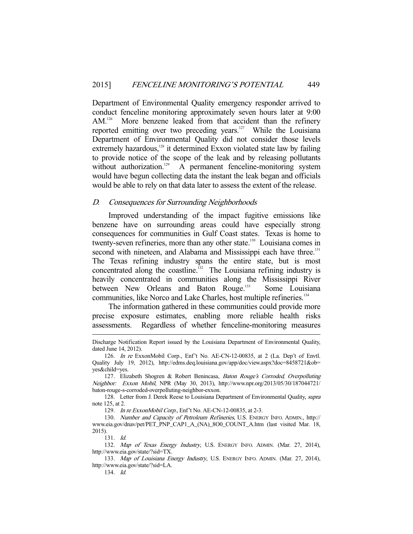Department of Environmental Quality emergency responder arrived to conduct fenceline monitoring approximately seven hours later at 9:00 AM.<sup>126</sup> More benzene leaked from that accident than the refinery reported emitting over two preceding years.<sup>127</sup> While the Louisiana Department of Environmental Quality did not consider those levels extremely hazardous, $128$  it determined Exxon violated state law by failing to provide notice of the scope of the leak and by releasing pollutants without authorization.<sup>129</sup> A permanent fenceline-monitoring system would have begun collecting data the instant the leak began and officials would be able to rely on that data later to assess the extent of the release.

#### D. Consequences for Surrounding Neighborhoods

 Improved understanding of the impact fugitive emissions like benzene have on surrounding areas could have especially strong consequences for communities in Gulf Coast states. Texas is home to twenty-seven refineries, more than any other state.<sup>130</sup> Louisiana comes in second with nineteen, and Alabama and Mississippi each have three.<sup>131</sup> The Texas refining industry spans the entire state, but is most concentrated along the coastline.<sup>132</sup> The Louisiana refining industry is heavily concentrated in communities along the Mississippi River between New Orleans and Baton Rouge.<sup>133</sup> Some Louisiana communities, like Norco and Lake Charles, host multiple refineries.134

 The information gathered in these communities could provide more precise exposure estimates, enabling more reliable health risks assessments. Regardless of whether fenceline-monitoring measures

129. In re ExxonMobil Corp., Enf't No. AE-CN-12-00835, at 2-3.

Discharge Notification Report issued by the Louisiana Department of Environmental Quality, dated June 14, 2012).

 <sup>126.</sup> In re ExxonMobil Corp., Enf't No. AE-CN-12-00835, at 2 (La. Dep't of Envtl. Quality July 19, 2012), http://edms.deq.louisiana.gov/app/doc/view.aspx?doc=8458721&ob= yes&child=yes.

 <sup>127.</sup> Elizabeth Shogren & Robert Benincasa, Baton Rouge's Corroded, Overpolluting Neighbor: Exxon Mobil, NPR (May 30, 2013), http://www.npr.org/2013/05/30/187044721/ baton-rouge-s-corroded-overpolluting-neighbor-exxon.

<sup>128.</sup> Letter from J. Derek Reese to Louisiana Department of Environmental Quality, *supra* note 125, at 2.

 <sup>130.</sup> Number and Capacity of Petroleum Refineries, U.S. ENERGY INFO. ADMIN., http:// www.eia.gov/dnav/pet/PET\_PNP\_CAP1\_A\_(NA)\_8O0\_COUNT\_A.htm (last visited Mar. 18, 2015).

 <sup>131.</sup> Id.

<sup>132.</sup> Map of Texas Energy Industry, U.S. ENERGY INFO. ADMIN. (Mar. 27, 2014), http://www.eia.gov/state/?sid=TX.

<sup>133.</sup> Map of Louisiana Energy Industry, U.S. ENERGY INFO. ADMIN. (Mar. 27, 2014), http://www.eia.gov/state/?sid=LA.

 <sup>134.</sup> Id.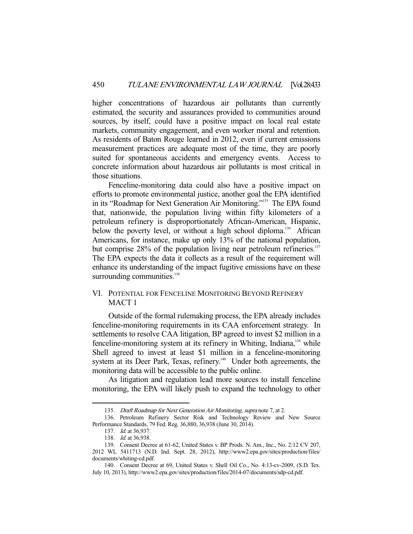higher concentrations of hazardous air pollutants than currently estimated, the security and assurances provided to communities around sources, by itself, could have a positive impact on local real estate markets, community engagement, and even worker moral and retention. As residents of Baton Rouge learned in 2012, even if current emissions measurement practices are adequate most of the time, they are poorly suited for spontaneous accidents and emergency events. Access to concrete information about hazardous air pollutants is most critical in those situations.

 Fenceline-monitoring data could also have a positive impact on efforts to promote environmental justice, another goal the EPA identified in its "Roadmap for Next Generation Air Monitoring."<sup>135</sup> The EPA found that, nationwide, the population living within fifty kilometers of a petroleum refinery is disproportionately African-American, Hispanic, below the poverty level, or without a high school diploma.<sup>136</sup> African Americans, for instance, make up only 13% of the national population, but comprise 28% of the population living near petroleum refineries.<sup>137</sup> The EPA expects the data it collects as a result of the requirement will enhance its understanding of the impact fugitive emissions have on these surrounding communities.<sup>138</sup>

## VI. POTENTIAL FOR FENCELINE MONITORING BEYOND REFINERY MACT 1

 Outside of the formal rulemaking process, the EPA already includes fenceline-monitoring requirements in its CAA enforcement strategy. In settlements to resolve CAA litigation, BP agreed to invest \$2 million in a fenceline-monitoring system at its refinery in Whiting, Indiana,<sup>139</sup> while Shell agreed to invest at least \$1 million in a fenceline-monitoring system at its Deer Park, Texas, refinery.<sup>140</sup> Under both agreements, the monitoring data will be accessible to the public online.

 As litigation and regulation lead more sources to install fenceline monitoring, the EPA will likely push to expand the technology to other

<sup>135.</sup> Draft Roadmap for Next Generation Air Monitoring, supra note 7, at 2.

 <sup>136.</sup> Petroleum Refinery Sector Risk and Technology Review and New Source Performance Standards, 79 Fed. Reg. 36,880, 36,938 (June 30, 2014).

 <sup>137.</sup> Id. at 36,937.

 <sup>138.</sup> Id. at 36,938.

 <sup>139.</sup> Consent Decree at 61-62, United States v. BP Prods. N. Am., Inc., No. 2:12 CV 207, 2012 WL 5411713 (N.D. Ind. Sept. 28, 2012), http://www2.epa.gov/sites/production/files/ documents/whiting-cd.pdf.

 <sup>140.</sup> Consent Decree at 69, United States v. Shell Oil Co., No. 4:13-cv-2009, (S.D. Tex. July 10, 2013), http://www2.epa.gov/sites/production/files/2014-07/documents/sdp-cd.pdf.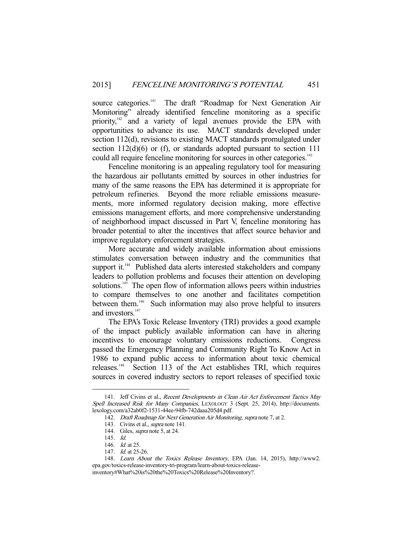source categories.<sup>141</sup> The draft "Roadmap for Next Generation Air Monitoring" already identified fenceline monitoring as a specific priority,<sup>42</sup> and a variety of legal avenues provide the EPA with opportunities to advance its use. MACT standards developed under section 112(d), revisions to existing MACT standards promulgated under section  $112(d)(6)$  or (f), or standards adopted pursuant to section 111 could all require fenceline monitoring for sources in other categories.<sup>143</sup>

 Fenceline monitoring is an appealing regulatory tool for measuring the hazardous air pollutants emitted by sources in other industries for many of the same reasons the EPA has determined it is appropriate for petroleum refineries. Beyond the more reliable emissions measurements, more informed regulatory decision making, more effective emissions management efforts, and more comprehensive understanding of neighborhood impact discussed in Part V, fenceline monitoring has broader potential to alter the incentives that affect source behavior and improve regulatory enforcement strategies.

 More accurate and widely available information about emissions stimulates conversation between industry and the communities that support it.<sup>144</sup> Published data alerts interested stakeholders and company leaders to pollution problems and focuses their attention on developing solutions.<sup>145</sup> The open flow of information allows peers within industries to compare themselves to one another and facilitates competition between them.<sup>146</sup> Such information may also prove helpful to insurers and investors.<sup>147</sup>

 The EPA's Toxic Release Inventory (TRI) provides a good example of the impact publicly available information can have in altering incentives to encourage voluntary emissions reductions. Congress passed the Emergency Planning and Community Right To Know Act in 1986 to expand public access to information about toxic chemical releases.148 Section 113 of the Act establishes TRI, which requires sources in covered industry sectors to report releases of specified toxic

<sup>141.</sup> Jeff Civins et al., Recent Developments in Clean Air Act Enforcement Tactics May Spell Increased Risk for Many Companies, LEXOLOGY 3 (Sept. 25, 2014), http://documents. lexology.com/a32ab0f2-1531-44ee-94fb-742daaa205d4.pdf.

<sup>142.</sup> Draft Roadmap for Next Generation Air Monitoring, supra note 7, at 2.

 <sup>143.</sup> Civins et al., supra note 141.

 <sup>144.</sup> Giles, supra note 5, at 24.

 <sup>145.</sup> Id.

<sup>146.</sup> *Id.* at 25.

<sup>147.</sup> *Id.* at 25-26.

 <sup>148.</sup> Learn About the Toxics Release Inventory, EPA (Jan. 14, 2015), http://www2. epa.gov/toxics-release-inventory-tri-program/learn-about-toxics-releaseinventory#What%20is%20the%20Toxics%20Release%20Inventory?.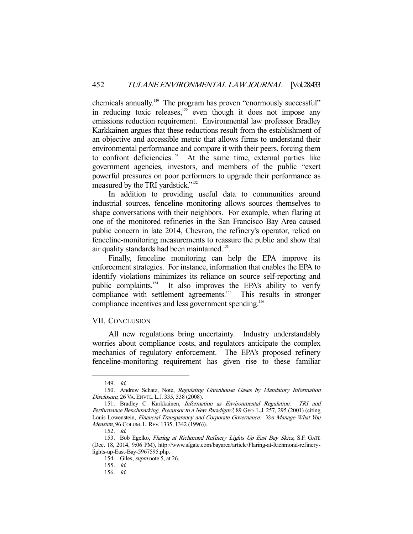chemicals annually.<sup>149</sup> The program has proven "enormously successful" in reducing toxic releases,<sup>150</sup> even though it does not impose any emissions reduction requirement. Environmental law professor Bradley Karkkainen argues that these reductions result from the establishment of an objective and accessible metric that allows firms to understand their environmental performance and compare it with their peers, forcing them to confront deficiencies.<sup>151</sup> At the same time, external parties like government agencies, investors, and members of the public "exert powerful pressures on poor performers to upgrade their performance as measured by the TRI yardstick."152

 In addition to providing useful data to communities around industrial sources, fenceline monitoring allows sources themselves to shape conversations with their neighbors. For example, when flaring at one of the monitored refineries in the San Francisco Bay Area caused public concern in late 2014, Chevron, the refinery's operator, relied on fenceline-monitoring measurements to reassure the public and show that air quality standards had been maintained.<sup>153</sup>

 Finally, fenceline monitoring can help the EPA improve its enforcement strategies. For instance, information that enables the EPA to identify violations minimizes its reliance on source self-reporting and public complaints.<sup>154</sup> It also improves the EPA's ability to verify compliance with settlement agreements.<sup>155</sup> This results in stronger compliance incentives and less government spending.<sup>156</sup>

#### VII. CONCLUSION

 All new regulations bring uncertainty. Industry understandably worries about compliance costs, and regulators anticipate the complex mechanics of regulatory enforcement. The EPA's proposed refinery fenceline-monitoring requirement has given rise to these familiar

 <sup>149.</sup> Id.

 <sup>150.</sup> Andrew Schatz, Note, Regulating Greenhouse Gases by Mandatory Information Disclosure, 26 VA. ENVTL.L.J. 335, 338 (2008).

<sup>151.</sup> Bradley C. Karkkainen, Information as Environmental Regulation: TRI and Performance Benchmarking, Precursor to a New Paradigm?, 89 GEO. L.J. 257, 295 (2001) (citing Louis Lowenstein, Financial Transparency and Corporate Governance: You Manage What You Measure, 96 COLUM. L. REV. 1335, 1342 (1996)).

 <sup>152.</sup> Id.

<sup>153.</sup> Bob Egelko, Flaring at Richmond Refinery Lights Up East Bay Skies, S.F. GATE (Dec. 18, 2014, 9:06 PM), http://www.sfgate.com/bayarea/article/Flaring-at-Richmond-refinerylights-up-East-Bay-5967595.php.

 <sup>154.</sup> Giles, supra note 5, at 26.

 <sup>155.</sup> Id.

 <sup>156.</sup> Id.